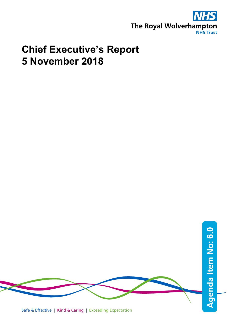

## **Chief Executive's Report 5 November 2018**

Safe & Effective | Kind & Caring | Exceeding Expectation **Agenda Item No: Agenda Item No: 6.0**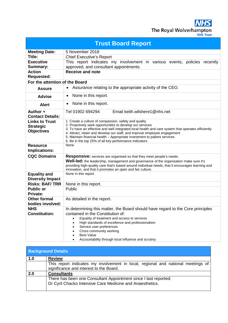**NHS** The Royal Wolverhampton

| <b>Trust Board Report</b>      |                                                                                                                                                                                             |  |  |  |
|--------------------------------|---------------------------------------------------------------------------------------------------------------------------------------------------------------------------------------------|--|--|--|
| <b>Meeting Date:</b>           | 5 November 2018                                                                                                                                                                             |  |  |  |
| Title:                         | <b>Chief Executive's Report</b>                                                                                                                                                             |  |  |  |
| <b>Executive</b>               | This report indicates my involvement in various events, policies recently                                                                                                                   |  |  |  |
| <b>Summary:</b>                | approved, and consultant appointments.                                                                                                                                                      |  |  |  |
| <b>Action</b>                  | <b>Receive and note</b>                                                                                                                                                                     |  |  |  |
| <b>Requested:</b>              |                                                                                                                                                                                             |  |  |  |
| For the attention of the Board |                                                                                                                                                                                             |  |  |  |
| <b>Assure</b>                  | Assurance relating to the appropriate activity of the CEO.<br>$\bullet$                                                                                                                     |  |  |  |
| <b>Advise</b>                  | None in this report.<br>$\bullet$                                                                                                                                                           |  |  |  |
| <b>Alert</b>                   | None in this report.<br>$\bullet$                                                                                                                                                           |  |  |  |
| Author +                       | Email keith.wilshere1@nhs.net<br>Tel 01902 694294                                                                                                                                           |  |  |  |
| <b>Contact Details:</b>        |                                                                                                                                                                                             |  |  |  |
| <b>Links to Trust</b>          | 1. Create a culture of compassion, safety and quality                                                                                                                                       |  |  |  |
| <b>Strategic</b>               | 2. Proactively seek opportunities to develop our services<br>3. To have an effective and well integrated local health and care system that operates efficiently                             |  |  |  |
| <b>Objectives</b>              | 4. Attract, retain and develop our staff, and improve employee engagement                                                                                                                   |  |  |  |
|                                | 5. Maintain financial health - Appropriate investment to patient services                                                                                                                   |  |  |  |
|                                | 6. Be in the top 25% of all key performance indicators                                                                                                                                      |  |  |  |
| <b>Resource</b>                | None                                                                                                                                                                                        |  |  |  |
| Implications:                  |                                                                                                                                                                                             |  |  |  |
| <b>CQC Domains</b>             | Responsive: services are organised so that they meet people's needs.                                                                                                                        |  |  |  |
|                                | Well-led: the leadership, management and governance of the organisation make sure it's<br>providing high-quality care that's based around individual needs, that it encourages learning and |  |  |  |
|                                | innovation, and that it promotes an open and fair culture.                                                                                                                                  |  |  |  |
| <b>Equality and</b>            | None in this report.                                                                                                                                                                        |  |  |  |
| <b>Diversity Impact</b>        |                                                                                                                                                                                             |  |  |  |
| <b>Risks: BAF/TRR</b>          | None in this report.                                                                                                                                                                        |  |  |  |
| <b>Public or</b>               | Public                                                                                                                                                                                      |  |  |  |
| <b>Private:</b>                |                                                                                                                                                                                             |  |  |  |
| <b>Other formal</b>            | As detailed in the report.                                                                                                                                                                  |  |  |  |
| bodies involved:               |                                                                                                                                                                                             |  |  |  |
| <b>NHS</b>                     | In determining this matter, the Board should have regard to the Core principles                                                                                                             |  |  |  |
| <b>Constitution:</b>           | contained in the Constitution of:                                                                                                                                                           |  |  |  |
|                                | Equality of treatment and access to services                                                                                                                                                |  |  |  |
|                                | High standards of excellence and professionalism<br>Service user preferences                                                                                                                |  |  |  |
|                                | Cross community working                                                                                                                                                                     |  |  |  |
|                                | <b>Best Value</b>                                                                                                                                                                           |  |  |  |
|                                | Accountability through local influence and scrutiny<br>٠                                                                                                                                    |  |  |  |

| <b>Background Details</b> |                                                                                                                               |  |
|---------------------------|-------------------------------------------------------------------------------------------------------------------------------|--|
| 1.0                       | <b>Review</b>                                                                                                                 |  |
|                           | This report indicates my involvement in local, regional and national meetings of<br>significance and interest to the Board.   |  |
| 2.0                       | <b>Consultants</b>                                                                                                            |  |
|                           | There has been one Consultant Appointment since I last reported:<br>Dr Cyril Chacko Intensive Care Medicine and Anaesthetics. |  |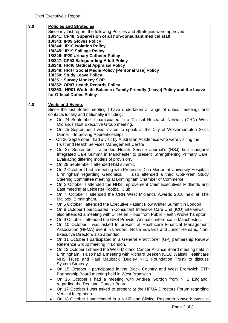| 3.0 | <b>Policies and Strategies</b>                                                                      |
|-----|-----------------------------------------------------------------------------------------------------|
|     | Since my last report, the following Policies and Strategies were approved;                          |
|     | 18/341: CP48: Supervision of all non-consultant medical staff                                       |
|     | 18/343: IP09 Gloves Policy                                                                          |
|     | 18/344: IP10 Isolation Policy                                                                       |
|     | 18/345: IP19 Spillage Policy                                                                        |
|     | 18/346: IP20 Urinary Catheter Policy                                                                |
|     | 18/347: CP53 Safeguarding Adult Policy                                                              |
|     | 18/348: HR46 Medical Appraisal Policy                                                               |
|     | 18/349: HR47 Social Media Policy [Personal Use] Policy                                              |
|     | 18/350: Study Leave Policy                                                                          |
|     | 18/351: Survey Monkey SOP                                                                           |
|     | 18/352: OP07 Health Records Policy                                                                  |
|     | 18/353: HR01 Work life Balance / Family Friendly (Leave) Policy and the Leave                       |
|     | for Official Duties Policy                                                                          |
|     |                                                                                                     |
| 4.0 | <b>Visits and Events</b>                                                                            |
|     | Since the last Board meeting I have undertaken a range of duties, meetings and                      |
|     | contacts locally and nationally including:                                                          |
|     | On 24 September I participated in a Clinical Research Network (CRN) West                            |
|     | Midlands Host Executive Group meeting.                                                              |
|     | On 25 September I was invited to speak at the City of Wolverhampton Skills<br>$\bullet$             |
|     | Dinner - Improving Apprenticeships.                                                                 |
|     | On 26 September I had a visit by Australian Academics who were visiting the<br>$\bullet$            |
|     | <b>Trust and Health Services Management Centre</b>                                                  |
|     | On 27 September I attended Health Service Journal's (HSJ) first inaugural                           |
|     | Integrated Care Summit in Manchester to present 'Strengthening Primary Care.                        |
|     | Evaluating differing models of provision'.                                                          |
|     | On 28 September I attended HSJ summit.<br>$\bullet$                                                 |
|     | On 2 October I had a meeting with Professor Dion Morton at University Hospitals                     |
|     | Birmingham regarding Genomics. I also attended a third Opti-Prem Study                              |
|     | Steering Committee meeting at Birmingham Chamber of Commerce.                                       |
|     | On 3 October I attended the NHS Improvement Chief Executives Midlands and<br>$\bullet$              |
|     | East meeting at Leicester Football Club.                                                            |
|     | On 4 October I attended the CRN West Midlands Awards 2018 held at The                               |
|     | Mailbox, Birmingham.                                                                                |
|     | On 5 October I attended the Executive Patient Flow Winter Summit in London.<br>$\bullet$            |
|     | On 8 October I participated in Consultant Intensive Care Unit (ICU) interviews. I<br>٠              |
|     | also attended a meeting with Dr Helen Hibbs from Public Health Wolverhampton.                       |
|     | On 9 October I attended the NHS Provider Annual conference in Manchester.<br>٠                      |
|     | On 10 October I was asked to present at Healthcare Financial Management<br>$\bullet$                |
|     | Association (HFMA) event in London. Rosie Edwards and Junior Hemans, Non-                           |
|     | Executive Directors also attended.                                                                  |
|     | On 11 October I participated in a General Practitioner (GP) partnership Review<br>$\bullet$         |
|     | Reference Group meeting in London.                                                                  |
|     | On 12 October I chaired the West Midland Cancer Alliance Board meeting held in                      |
|     | Birmingham. I also had a meeting with Richard Beeken (CEO Walsall Healthcare                        |
|     | NHS Trust) and Paul Mauback (Dudley NHS Foundation Trust) to discuss                                |
|     | System Strategy.                                                                                    |
|     | On 15 October I participated in the Black Country and West Bromwich STP<br>$\bullet$                |
|     | Partnership Board meeting held in West Bromwich.                                                    |
|     | On 16 October I had a meeting with Andrea Gordon from NHS England,<br>$\bullet$                     |
|     | regarding the Regional Cancer Board.                                                                |
|     | On 17 October I was asked to present at the HFMA Directors Forum regarding<br>Vertical Integration. |
|     |                                                                                                     |
|     | On 18 October I participated in a NIHR and Clinical Research Network event in                       |